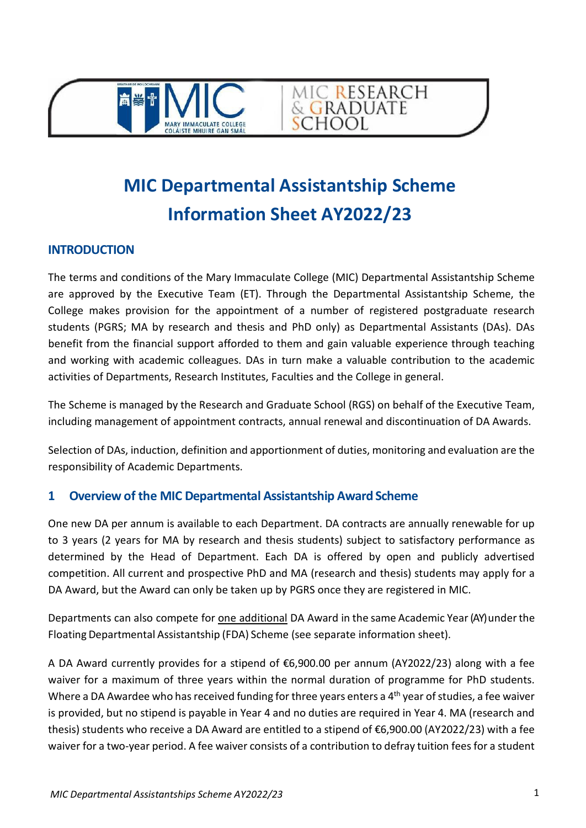



# **MIC Departmental Assistantship Scheme Information Sheet AY2022/23**

#### **INTRODUCTION**

The terms and conditions of the Mary Immaculate College (MIC) Departmental Assistantship Scheme are approved by the Executive Team (ET). Through the Departmental Assistantship Scheme, the College makes provision for the appointment of a number of registered postgraduate research students (PGRS; MA by research and thesis and PhD only) as Departmental Assistants (DAs). DAs benefit from the financial support afforded to them and gain valuable experience through teaching and working with academic colleagues. DAs in turn make a valuable contribution to the academic activities of Departments, Research Institutes, Faculties and the College in general.

The Scheme is managed by the Research and Graduate School (RGS) on behalf of the Executive Team, including management of appointment contracts, annual renewal and discontinuation of DA Awards.

Selection of DAs, induction, definition and apportionment of duties, monitoring and evaluation are the responsibility of Academic Departments.

# **1 Overview of the MIC Departmental Assistantship Award Scheme**

One new DA per annum is available to each Department. DA contracts are annually renewable for up to 3 years (2 years for MA by research and thesis students) subject to satisfactory performance as determined by the Head of Department. Each DA is offered by open and publicly advertised competition. All current and prospective PhD and MA (research and thesis) students may apply for a DA Award, but the Award can only be taken up by PGRS once they are registered in MIC.

Departments can also compete for one additional DA Award in the same Academic Year (AY) under the Floating Departmental Assistantship (FDA) Scheme (see separate information sheet).

A DA Award currently provides for a stipend of €6,900.00 per annum (AY2022/23) along with a fee waiver for a maximum of three years within the normal duration of programme for PhD students. Where a DA Awardee who has received funding for three years enters a 4<sup>th</sup> year of studies, a fee waiver is provided, but no stipend is payable in Year 4 and no duties are required in Year 4. MA (research and thesis) students who receive a DA Award are entitled to a stipend of €6,900.00 (AY2022/23) with a fee waiver for a two-year period. A fee waiver consists of a contribution to defray tuition fees for a student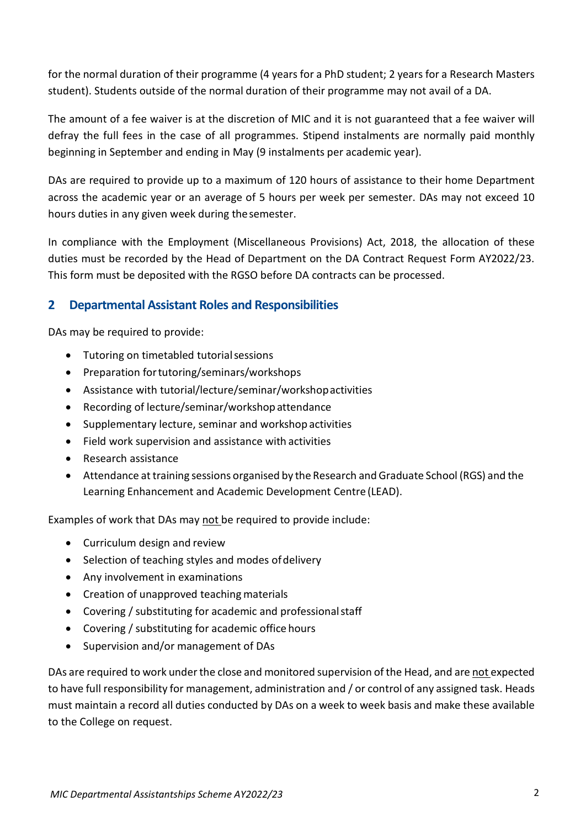for the normal duration of their programme (4 years for a PhD student; 2 years for a Research Masters student). Students outside of the normal duration of their programme may not avail of a DA.

The amount of a fee waiver is at the discretion of MIC and it is not guaranteed that a fee waiver will defray the full fees in the case of all programmes. Stipend instalments are normally paid monthly beginning in September and ending in May (9 instalments per academic year).

DAs are required to provide up to a maximum of 120 hours of assistance to their home Department across the academic year or an average of 5 hours per week per semester. DAs may not exceed 10 hours duties in any given week during thesemester.

In compliance with the Employment (Miscellaneous Provisions) Act, 2018, the allocation of these duties must be recorded by the Head of Department on the DA Contract Request Form AY2022/23. This form must be deposited with the RGSO before DA contracts can be processed.

# **2 Departmental Assistant Roles and Responsibilities**

DAs may be required to provide:

- Tutoring on timetabled tutorialsessions
- Preparation fortutoring/seminars/workshops
- Assistance with tutorial/lecture/seminar/workshopactivities
- Recording of lecture/seminar/workshop attendance
- Supplementary lecture, seminar and workshop activities
- Field work supervision and assistance with activities
- Research assistance
- Attendance at training sessions organised by the Research and Graduate School (RGS) and the Learning Enhancement and Academic Development Centre (LEAD).

Examples of work that DAs may not be required to provide include:

- Curriculum design and review
- Selection of teaching styles and modes of delivery
- Any involvement in examinations
- Creation of unapproved teaching materials
- Covering / substituting for academic and professionalstaff
- Covering / substituting for academic office hours
- Supervision and/or management of DAs

DAs are required to work under the close and monitored supervision of the Head, and are not expected to have full responsibility for management, administration and / or control of any assigned task. Heads must maintain a record all duties conducted by DAs on a week to week basis and make these available to the College on request.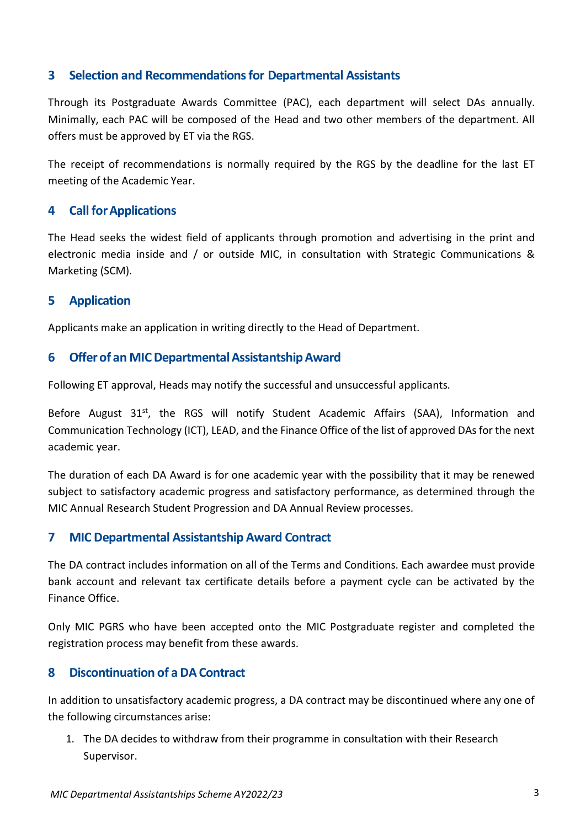#### **3 Selection and Recommendations for Departmental Assistants**

Through its Postgraduate Awards Committee (PAC), each department will select DAs annually. Minimally, each PAC will be composed of the Head and two other members of the department. All offers must be approved by ET via the RGS.

The receipt of recommendations is normally required by the RGS by the deadline for the last ET meeting of the Academic Year.

#### **4 Call forApplications**

The Head seeks the widest field of applicants through promotion and advertising in the print and electronic media inside and / or outside MIC, in consultation with Strategic Communications & Marketing (SCM).

#### **5 Application**

Applicants make an application in writing directly to the Head of Department.

#### **6 Offerof an MICDepartmentalAssistantshipAward**

Following ET approval, Heads may notify the successful and unsuccessful applicants.

Before August  $31<sup>st</sup>$ , the RGS will notify Student Academic Affairs (SAA), Information and Communication Technology (ICT), LEAD, and the Finance Office of the list of approved DAs for the next academic year.

The duration of each DA Award is for one academic year with the possibility that it may be renewed subject to satisfactory academic progress and satisfactory performance, as determined through the MIC Annual Research Student Progression and DA Annual Review processes.

#### **7 MIC Departmental Assistantship Award Contract**

The DA contract includes information on all of the Terms and Conditions. Each awardee must provide bank account and relevant tax certificate details before a payment cycle can be activated by the Finance Office.

Only MIC PGRS who have been accepted onto the MIC Postgraduate register and completed the registration process may benefit from these awards.

# **8 Discontinuation of a DAContract**

In addition to unsatisfactory academic progress, a DA contract may be discontinued where any one of the following circumstances arise:

1. The DA decides to withdraw from their programme in consultation with their Research Supervisor.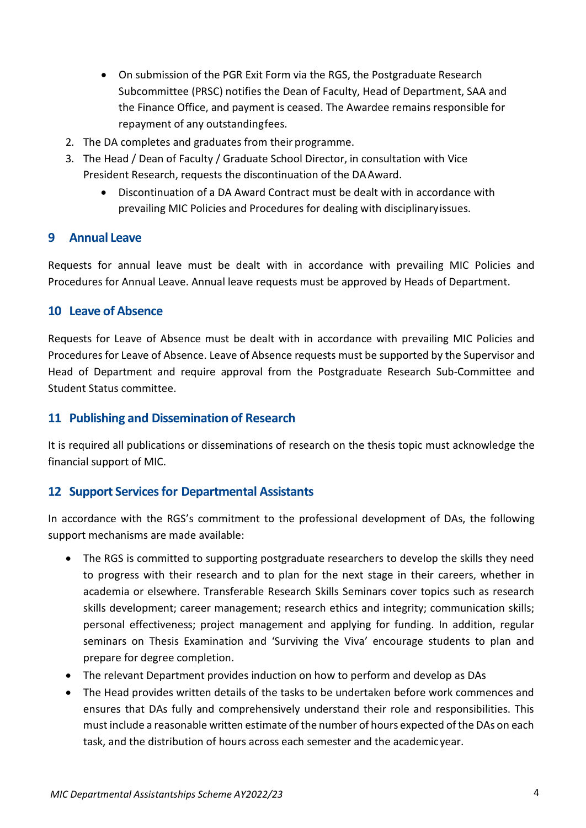- On submission of the PGR Exit Form via the RGS, the Postgraduate Research Subcommittee (PRSC) notifies the Dean of Faculty, Head of Department, SAA and the Finance Office, and payment is ceased. The Awardee remains responsible for repayment of any outstandingfees.
- 2. The DA completes and graduates from their programme.
- 3. The Head / Dean of Faculty / Graduate School Director, in consultation with Vice President Research, requests the discontinuation of the DAAward.
	- Discontinuation of a DA Award Contract must be dealt with in accordance with prevailing [MIC Policies and Procedures for dealing with disciplinaryissues.](http://www.mic.ul.ie/adminservices/policies/Documents/DisciplinaryPolicyAcademicStaff.pdf)

#### **9 Annual Leave**

Requests for annual leave must be dealt with in accordance with prevailing MIC Policies and Procedures for Annual Leave. Annual leave requests must be approved by Heads of Department.

#### **10 Leave of Absence**

Requests for Leave of Absence must be dealt with in accordance with prevailing MIC Policies and Procedures for Leave of Absence. Leave of Absence requests must be supported by the Supervisor and Head of Department and require approval from the Postgraduate Research Sub-Committee and Student Status committee.

#### **11 Publishing and Dissemination of Research**

It is required all publications or disseminations of research on the thesis topic must acknowledge the financial support of MIC.

# **12 Support Services for Departmental Assistants**

In accordance with the RGS's commitment to the professional development of DAs, the following support mechanisms are made available:

- The RGS is committed to supporting postgraduate researchers to develop the skills they need to progress with their research and to plan for the next stage in their careers, whether in academia or elsewhere. Transferable Research Skills Seminars cover topics such as research skills development; career management; research ethics and integrity; communication skills; personal effectiveness; project management and applying for funding. In addition, regular seminars on Thesis Examination and 'Surviving the Viva' encourage students to plan and prepare for degree completion.
- The relevant Department provides induction on how to perform and develop as DAs
- The Head provides written details of the tasks to be undertaken before work commences and ensures that DAs fully and comprehensively understand their role and responsibilities. This must include a reasonable written estimate of the number of hours expected ofthe DAs on each task, and the distribution of hours across each semester and the academicyear.